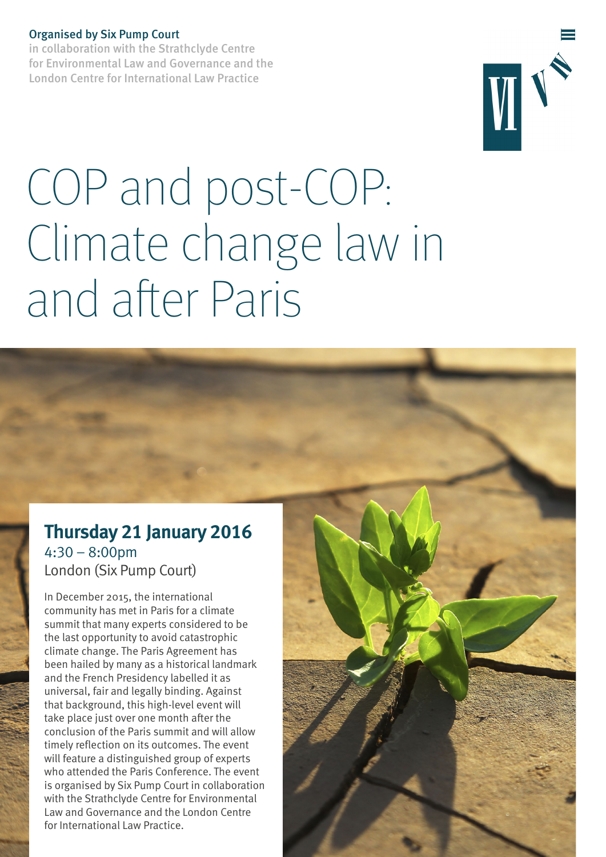#### Organised by Six Pump Court

in collaboration with the Strathclyde Centre for Environmental Law and Governance and the London Centre for International Law Practice



# COP and post-COP: Climate change law in and after Paris

## **Thursday 21 January 2016** 4:30 – 8:00pm London (Six Pump Court)

In December 2015, the international community has met in Paris for a climate summit that many experts considered to be the last opportunity to avoid catastrophic climate change. The Paris Agreement has been hailed by many as a historical landmark and the French Presidency labelled it as universal, fair and legally binding. Against that background, this high-level event will take place just over one month after the conclusion of the Paris summit and will allow timely reflection on its outcomes. The event will feature a distinguished group of experts who attended the Paris Conference. The event is organised by Six Pump Court in collaboration with the Strathclyde Centre for Environmental Law and Governance and the London Centre for International Law Practice.